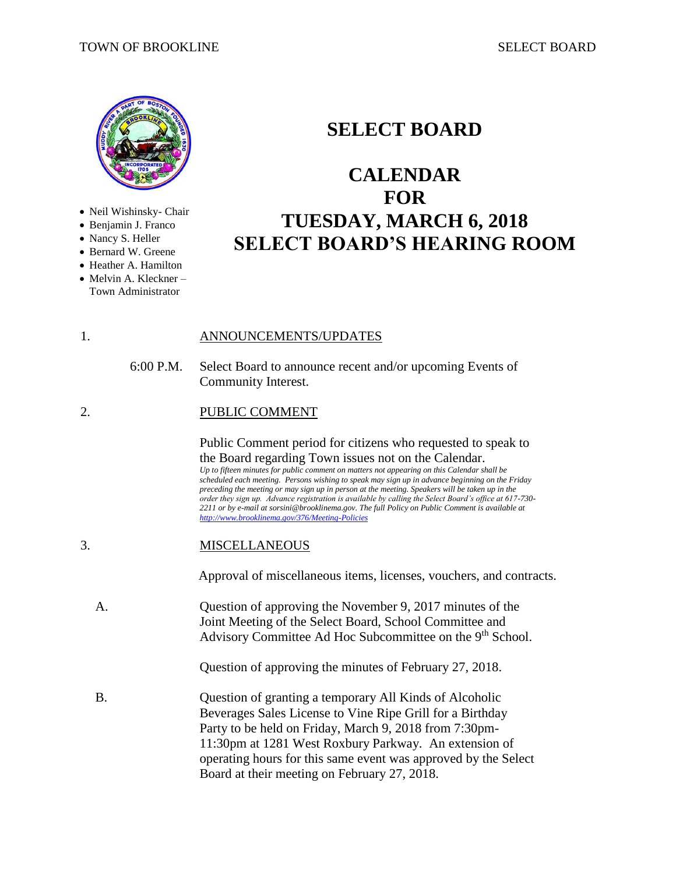

- Neil Wishinsky- Chair
- Benjamin J. Franco
- Nancy S. Heller
- Bernard W. Greene
- Heather A. Hamilton
- Melvin A. Kleckner Town Administrator

# **SELECT BOARD**

# **CALENDAR FOR TUESDAY, MARCH 6, 2018 SELECT BOARD'S HEARING ROOM**

- 1. ANNOUNCEMENTS/UPDATES
	- 6:00 P.M. Select Board to announce recent and/or upcoming Events of Community Interest.
- 2. PUBLIC COMMENT

Public Comment period for citizens who requested to speak to the Board regarding Town issues not on the Calendar. *Up to fifteen minutes for public comment on matters not appearing on this Calendar shall be scheduled each meeting. Persons wishing to speak may sign up in advance beginning on the Friday preceding the meeting or may sign up in person at the meeting. Speakers will be taken up in the order they sign up. Advance registration is available by calling the Select Board's office at 617-730- 2211 or by e-mail at sorsini@brooklinema.gov. The full Policy on Public Comment is available at <http://www.brooklinema.gov/376/Meeting-Policies>*

3. MISCELLANEOUS

Approval of miscellaneous items, licenses, vouchers, and contracts.

A. Question of approving the November 9, 2017 minutes of the Joint Meeting of the Select Board, School Committee and Advisory Committee Ad Hoc Subcommittee on the 9<sup>th</sup> School.

Question of approving the minutes of February 27, 2018.

B. Question of granting a temporary All Kinds of Alcoholic Beverages Sales License to Vine Ripe Grill for a Birthday Party to be held on Friday, March 9, 2018 from 7:30pm-11:30pm at 1281 West Roxbury Parkway. An extension of operating hours for this same event was approved by the Select Board at their meeting on February 27, 2018.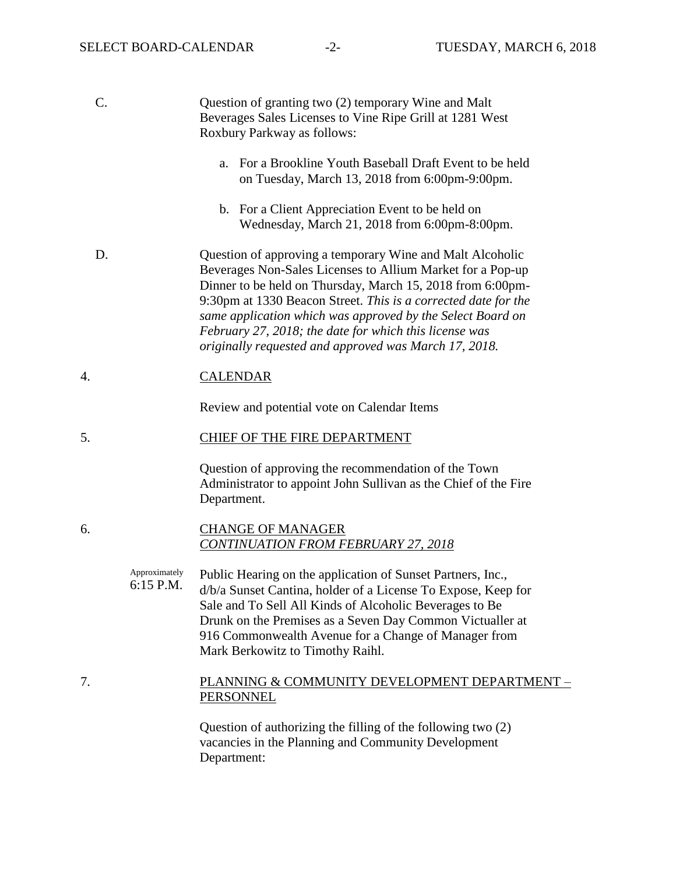| C. |                            | Question of granting two (2) temporary Wine and Malt<br>Beverages Sales Licenses to Vine Ripe Grill at 1281 West<br>Roxbury Parkway as follows:                                                                                                                                                                                                                                                                                          |
|----|----------------------------|------------------------------------------------------------------------------------------------------------------------------------------------------------------------------------------------------------------------------------------------------------------------------------------------------------------------------------------------------------------------------------------------------------------------------------------|
|    |                            | For a Brookline Youth Baseball Draft Event to be held<br>a.<br>on Tuesday, March 13, 2018 from 6:00pm-9:00pm.                                                                                                                                                                                                                                                                                                                            |
|    |                            | b. For a Client Appreciation Event to be held on<br>Wednesday, March 21, 2018 from 6:00pm-8:00pm.                                                                                                                                                                                                                                                                                                                                        |
| D. |                            | Question of approving a temporary Wine and Malt Alcoholic<br>Beverages Non-Sales Licenses to Allium Market for a Pop-up<br>Dinner to be held on Thursday, March 15, 2018 from 6:00pm-<br>9:30pm at 1330 Beacon Street. This is a corrected date for the<br>same application which was approved by the Select Board on<br>February 27, 2018; the date for which this license was<br>originally requested and approved was March 17, 2018. |
| 4. |                            | <b>CALENDAR</b>                                                                                                                                                                                                                                                                                                                                                                                                                          |
|    |                            | Review and potential vote on Calendar Items                                                                                                                                                                                                                                                                                                                                                                                              |
| 5. |                            | <b>CHIEF OF THE FIRE DEPARTMENT</b>                                                                                                                                                                                                                                                                                                                                                                                                      |
|    |                            | Question of approving the recommendation of the Town<br>Administrator to appoint John Sullivan as the Chief of the Fire<br>Department.                                                                                                                                                                                                                                                                                                   |
| 6. |                            | <b>CHANGE OF MANAGER</b><br><b>CONTINUATION FROM FEBRUARY 27, 2018</b>                                                                                                                                                                                                                                                                                                                                                                   |
|    | Approximately<br>6:15 P.M. | Public Hearing on the application of Sunset Partners, Inc.,<br>d/b/a Sunset Cantina, holder of a License To Expose, Keep for<br>Sale and To Sell All Kinds of Alcoholic Beverages to Be<br>Drunk on the Premises as a Seven Day Common Victualler at<br>916 Commonwealth Avenue for a Change of Manager from<br>Mark Berkowitz to Timothy Raihl.                                                                                         |
| 7. |                            | PLANNING & COMMUNITY DEVELOPMENT DEPARTMENT -<br>PERSONNEL                                                                                                                                                                                                                                                                                                                                                                               |

Question of authorizing the filling of the following two (2) vacancies in the Planning and Community Development Department: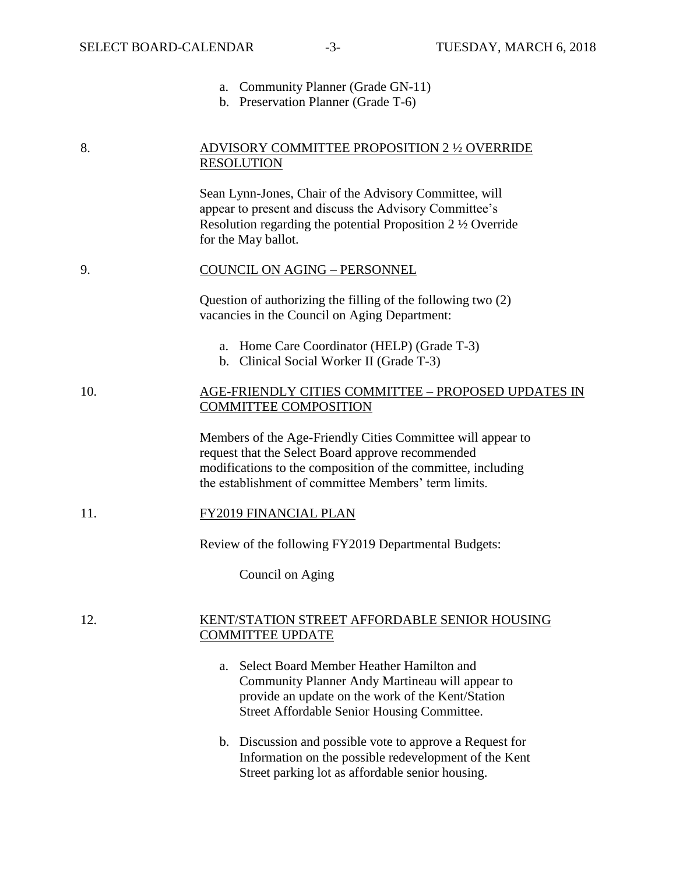- a. Community Planner (Grade GN-11)
- b. Preservation Planner (Grade T-6)

# 8. ADVISORY COMMITTEE PROPOSITION 2 ½ OVERRIDE **RESOLUTION**

Sean Lynn-Jones, Chair of the Advisory Committee, will appear to present and discuss the Advisory Committee's Resolution regarding the potential Proposition 2 ½ Override for the May ballot.

#### 9. COUNCIL ON AGING – PERSONNEL

Question of authorizing the filling of the following two (2) vacancies in the Council on Aging Department:

- a. Home Care Coordinator (HELP) (Grade T-3)
- b. Clinical Social Worker II (Grade T-3)

# 10. AGE-FRIENDLY CITIES COMMITTEE – PROPOSED UPDATES IN COMMITTEE COMPOSITION

Members of the Age-Friendly Cities Committee will appear to request that the Select Board approve recommended modifications to the composition of the committee, including the establishment of committee Members' term limits.

#### 11. FY2019 FINANCIAL PLAN

Review of the following FY2019 Departmental Budgets:

Council on Aging

#### 12. KENT/STATION STREET AFFORDABLE SENIOR HOUSING COMMITTEE UPDATE

- a. Select Board Member Heather Hamilton and Community Planner Andy Martineau will appear to provide an update on the work of the Kent/Station Street Affordable Senior Housing Committee.
- b. Discussion and possible vote to approve a Request for Information on the possible redevelopment of the Kent Street parking lot as affordable senior housing.